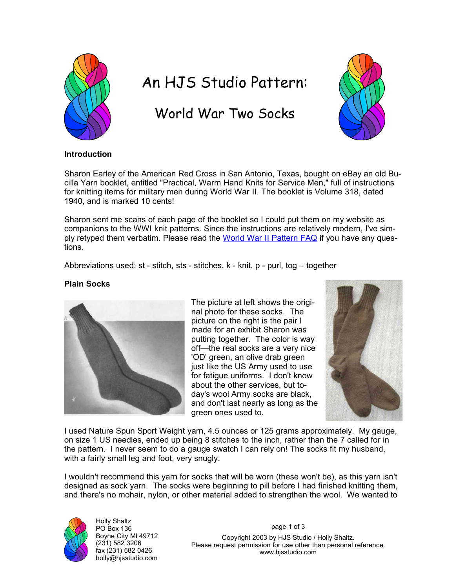

# An HJS Studio Pattern:

## World War Two Socks



#### **Introduction**

Sharon Earley of the American Red Cross in San Antonio, Texas, bought on eBay an old Bucilla Yarn booklet, entitled "Practical, Warm Hand Knits for Service Men," full of instructions for knitting items for military men during World War II. The booklet is Volume 318, dated 1940, and is marked 10 cents!

Sharon sent me scans of each page of the booklet so I could put them on my website as companions to the WWI knit patterns. Since the instructions are relatively modern, I've simply retyped them verbatim. Please read the World War II Pattern FAQ if you have any questions.

Abbreviations used: st - stitch, sts - stitches, k - knit, p - purl, tog – together

#### **Plain Socks**



The picture at left shows the original photo for these socks. The picture on the right is the pair I made for an exhibit Sharon was putting together. The color is way off—the real socks are a very nice 'OD' green, an olive drab green just like the US Army used to use for fatigue uniforms. I don't know about the other services, but today's wool Army socks are black, and don't last nearly as long as the green ones used to.



I used Nature Spun Sport Weight yarn, 4.5 ounces or 125 grams approximately. My gauge, on size 1 US needles, ended up being 8 stitches to the inch, rather than the 7 called for in the pattern. I never seem to do a gauge swatch I can rely on! The socks fit my husband, with a fairly small leg and foot, very snugly.

I wouldn't recommend this yarn for socks that will be worn (these won't be), as this yarn isn't designed as sock yarn. The socks were beginning to pill before I had finished knitting them, and there's no mohair, nylon, or other material added to strengthen the wool. We wanted to



Holly Shaltz PO Box 136 Boyne City MI 49712 (231) 582 3206 fax (231) 582 0426 holly@hjsstudio.com

page 1 of 3

Copyright 2003 by HJS Studio / Holly Shaltz. Please request permission for use other than personal reference. www.hjsstudio.com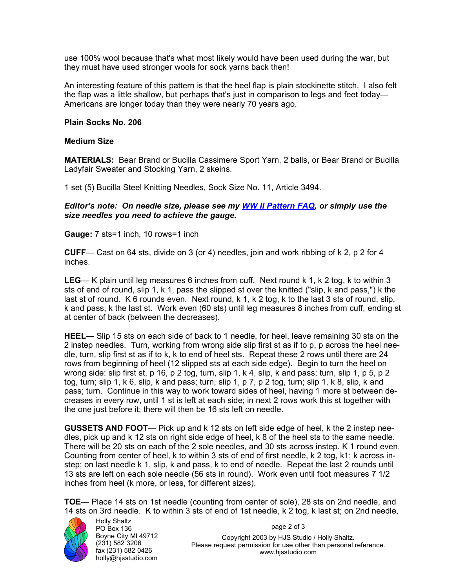use 100% wool because that's what most likely would have been used during the war, but they must have used stronger wools for sock yarns back then!

An interesting feature of this pattern is that the heel flap is plain stockinette stitch. I also felt the flap was a little shallow, but perhaps that's just in comparison to legs and feet today— Americans are longer today than they were nearly 70 years ago.

#### **Plain Socks No. 206**

#### **Medium Size**

**MATERIALS:** Bear Brand or Bucilla Cassimere Sport Yarn, 2 balls, or Bear Brand or Bucilla Ladyfair Sweater and Stocking Yarn, 2 skeins.

1 set (5) Bucilla Steel Knitting Needles, Sock Size No. 11, Article 3494.

#### *Editor's note: On needle size, please see my WW II Pattern FAQ, or simply use the size needles you need to achieve the gauge.*

**Gauge:** 7 sts=1 inch, 10 rows=1 inch

**CUFF**— Cast on 64 sts, divide on 3 (or 4) needles, join and work ribbing of k 2, p 2 for 4 inches.

**LEG**— K plain until leg measures 6 inches from cuff. Next round k 1, k 2 tog, k to within 3 sts of end of round, slip 1, k 1, pass the slipped st over the knitted ("slip, k and pass,") k the last st of round. K 6 rounds even. Next round, k 1, k 2 tog, k to the last 3 sts of round, slip, k and pass, k the last st. Work even (60 sts) until leg measures 8 inches from cuff, ending st at center of back (between the decreases).

**HEEL**— Slip 15 sts on each side of back to 1 needle, for heel, leave remaining 30 sts on the 2 instep needles. Turn, working from wrong side slip first st as if to p, p across the heel needle, turn, slip first st as if to k, k to end of heel sts. Repeat these 2 rows until there are 24 rows from beginning of heel (12 slipped sts at each side edge). Begin to turn the heel on wrong side: slip first st, p 16, p 2 tog, turn, slip 1, k 4, slip, k and pass; turn, slip 1, p 5, p 2 tog, turn; slip 1, k 6, slip, k and pass; turn, slip 1, p 7, p 2 tog, turn; slip 1, k 8, slip, k and pass; turn. Continue in this way to work toward sides of heel, having 1 more st between decreases in every row, until 1 st is left at each side; in next 2 rows work this st together with the one just before it; there will then be 16 sts left on needle.

**GUSSETS AND FOOT**— Pick up and k 12 sts on left side edge of heel, k the 2 instep needles, pick up and k 12 sts on right side edge of heel, k 8 of the heel sts to the same needle. There will be 20 sts on each of the 2 sole needles, and 30 sts across instep. K 1 round even. Counting from center of heel, k to within 3 sts of end of first needle, k 2 tog, k1; k across instep; on last needle k 1, slip, k and pass, k to end of needle. Repeat the last 2 rounds until 13 sts are left on each sole needle (56 sts in round). Work even until foot measures 7 1/2 inches from heel (k more, or less, for different sizes).

**TOE**— Place 14 sts on 1st needle (counting from center of sole), 28 sts on 2nd needle, and 14 sts on 3rd needle. K to within 3 sts of end of 1st needle, k 2 tog, k last st; on 2nd needle,



Holly Shaltz PO Box 136 Boyne City MI 49712 (231) 582 3206 fax (231) 582 0426 holly@hjsstudio.com

page 2 of 3

Copyright 2003 by HJS Studio / Holly Shaltz. Please request permission for use other than personal reference. www.hjsstudio.com